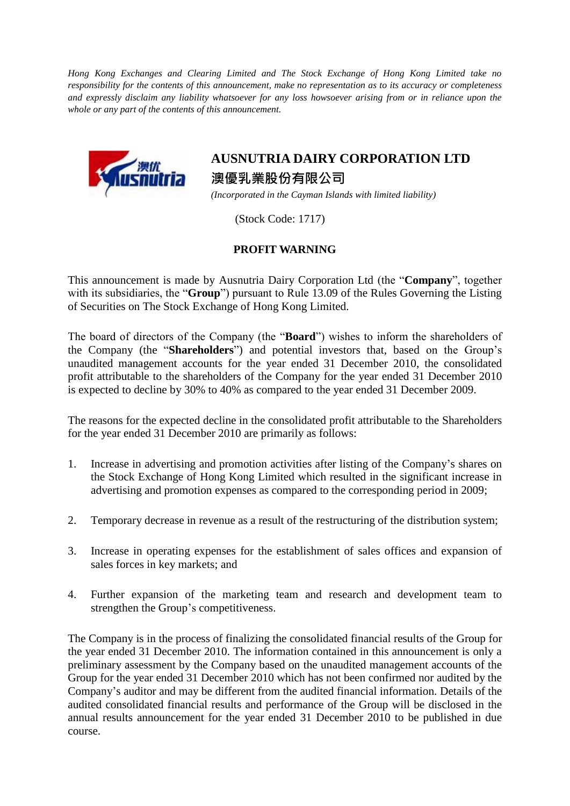*Hong Kong Exchanges and Clearing Limited and The Stock Exchange of Hong Kong Limited take no responsibility for the contents of this announcement, make no representation as to its accuracy or completeness and expressly disclaim any liability whatsoever for any loss howsoever arising from or in reliance upon the whole or any part of the contents of this announcement.*



## **AUSNUTRIA DAIRY CORPORATION LTD** 澳優乳業股份有限公司

*(Incorporated in the Cayman Islands with limited liability)*

(Stock Code: 1717)

## **PROFIT WARNING**

This announcement is made by Ausnutria Dairy Corporation Ltd (the "**Company**", together with its subsidiaries, the "**Group**") pursuant to Rule 13.09 of the Rules Governing the Listing of Securities on The Stock Exchange of Hong Kong Limited.

The board of directors of the Company (the "**Board**") wishes to inform the shareholders of the Company (the "**Shareholders**") and potential investors that, based on the Group's unaudited management accounts for the year ended 31 December 2010, the consolidated profit attributable to the shareholders of the Company for the year ended 31 December 2010 is expected to decline by 30% to 40% as compared to the year ended 31 December 2009.

The reasons for the expected decline in the consolidated profit attributable to the Shareholders for the year ended 31 December 2010 are primarily as follows:

- 1. Increase in advertising and promotion activities after listing of the Company's shares on the Stock Exchange of Hong Kong Limited which resulted in the significant increase in advertising and promotion expenses as compared to the corresponding period in 2009;
- 2. Temporary decrease in revenue as a result of the restructuring of the distribution system;
- 3. Increase in operating expenses for the establishment of sales offices and expansion of sales forces in key markets; and
- 4. Further expansion of the marketing team and research and development team to strengthen the Group's competitiveness.

The Company is in the process of finalizing the consolidated financial results of the Group for the year ended 31 December 2010. The information contained in this announcement is only a preliminary assessment by the Company based on the unaudited management accounts of the Group for the year ended 31 December 2010 which has not been confirmed nor audited by the Company's auditor and may be different from the audited financial information. Details of the audited consolidated financial results and performance of the Group will be disclosed in the annual results announcement for the year ended 31 December 2010 to be published in due course.